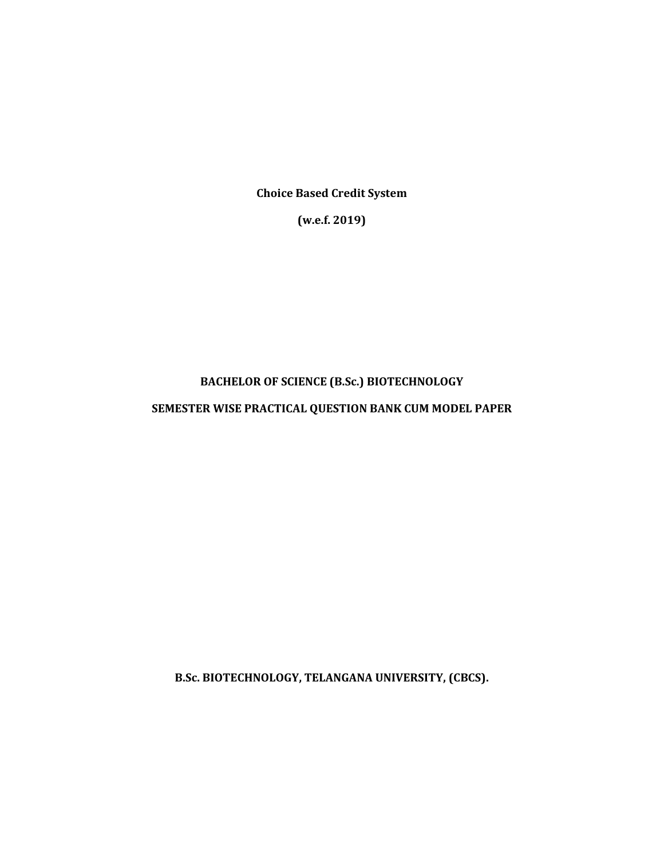**Choice Based Credit System**

**(w.e.f. 2019)**

# **BACHELOR OF SCIENCE (B.Sc.) BIOTECHNOLOGY**

## **SEMESTER WISE PRACTICAL QUESTION BANK CUM MODEL PAPER**

**B.Sc. BIOTECHNOLOGY, TELANGANA UNIVERSITY, (CBCS).**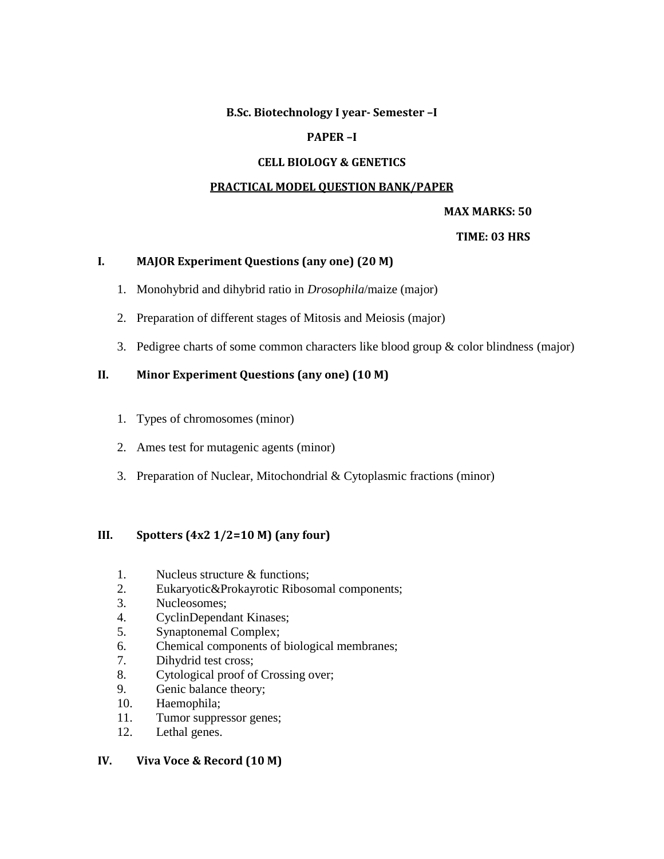#### **B.Sc. Biotechnology I year- Semester –I**

## **PAPER –I**

## **CELL BIOLOGY & GENETICS**

#### **PRACTICAL MODEL QUESTION BANK/PAPER**

## **MAX MARKS: 50**

#### **TIME: 03 HRS**

#### **I. MAJOR Experiment Questions (any one) (20 M)**

- 1. Monohybrid and dihybrid ratio in *Drosophila*/maize (major)
- 2. Preparation of different stages of Mitosis and Meiosis (major)
- 3. Pedigree charts of some common characters like blood group  $\&$  color blindness (major)

#### **II. Minor Experiment Questions (any one) (10 M)**

- 1. Types of chromosomes (minor)
- 2. Ames test for mutagenic agents (minor)
- 3. Preparation of Nuclear, Mitochondrial & Cytoplasmic fractions (minor)

## **III. Spotters (4x2 1/2=10 M) (any four)**

- 1. Nucleus structure & functions;
- 2. Eukaryotic&Prokayrotic Ribosomal components;
- 3. Nucleosomes;
- 4. CyclinDependant Kinases;
- 5. Synaptonemal Complex;
- 6. Chemical components of biological membranes;
- 7. Dihydrid test cross;
- 8. Cytological proof of Crossing over;
- 9. Genic balance theory;
- 10. Haemophila;
- 11. Tumor suppressor genes;
- 12. Lethal genes.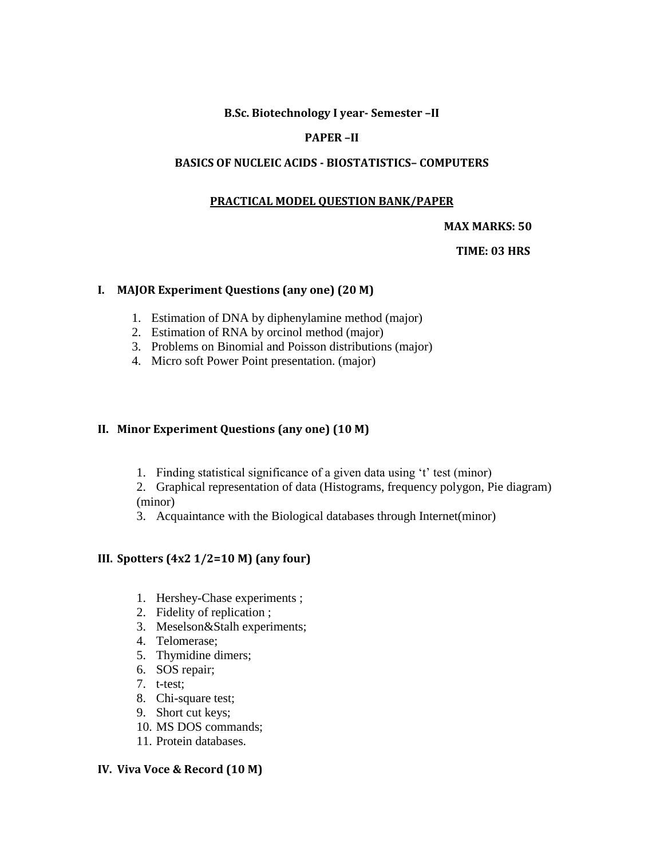## **B.Sc. Biotechnology I year- Semester –II**

## **PAPER –II**

#### **BASICS OF NUCLEIC ACIDS - BIOSTATISTICS– COMPUTERS**

#### **PRACTICAL MODEL QUESTION BANK/PAPER**

#### **MAX MARKS: 50**

#### **TIME: 03 HRS**

#### **I. MAJOR Experiment Questions (any one) (20 M)**

- 1. Estimation of DNA by diphenylamine method (major)
- 2. Estimation of RNA by orcinol method (major)
- 3. Problems on Binomial and Poisson distributions (major)
- 4. Micro soft Power Point presentation. (major)

#### **II. Minor Experiment Questions (any one) (10 M)**

- 1. Finding statistical significance of a given data using 't' test (minor)
- 2. Graphical representation of data (Histograms, frequency polygon, Pie diagram) (minor)
- 3. Acquaintance with the Biological databases through Internet(minor)

## **III. Spotters (4x2 1/2=10 M) (any four)**

- 1. Hershey-Chase experiments ;
- 2. Fidelity of replication ;
- 3. Meselson&Stalh experiments;
- 4. Telomerase;
- 5. Thymidine dimers;
- 6. SOS repair;
- 7. t-test;
- 8. Chi-square test;
- 9. Short cut keys;
- 10. MS DOS commands;
- 11. Protein databases.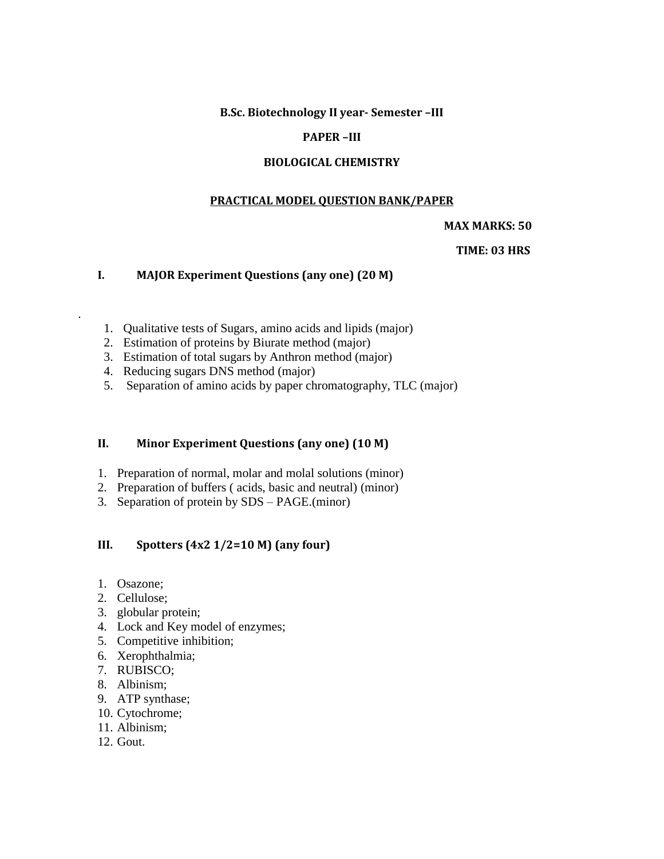**B.Sc. Biotechnology II year- Semester –III** 

## **PAPER –III**

#### **BIOLOGICAL CHEMISTRY**

#### **PRACTICAL MODEL QUESTION BANK/PAPER**

#### **MAX MARKS: 50**

#### **TIME: 03 HRS**

## **I. MAJOR Experiment Questions (any one) (20 M)**

- 1. Qualitative tests of Sugars, amino acids and lipids (major)
- 2. Estimation of proteins by Biurate method (major)
- 3. Estimation of total sugars by Anthron method (major)
- 4. Reducing sugars DNS method (major)
- 5. Separation of amino acids by paper chromatography, TLC (major)

#### **II. Minor Experiment Questions (any one) (10 M)**

- 1. Preparation of normal, molar and molal solutions (minor)
- 2. Preparation of buffers ( acids, basic and neutral) (minor)
- 3. Separation of protein by SDS PAGE.(minor)

### **III. Spotters (4x2 1/2=10 M) (any four)**

1. Osazone;

.

- 2. Cellulose;
- 3. globular protein;
- 4. Lock and Key model of enzymes;
- 5. Competitive inhibition;
- 6. Xerophthalmia;
- 7. RUBISCO;
- 8. Albinism;
- 9. ATP synthase;
- 10. Cytochrome;
- 11. Albinism;
- 12. Gout.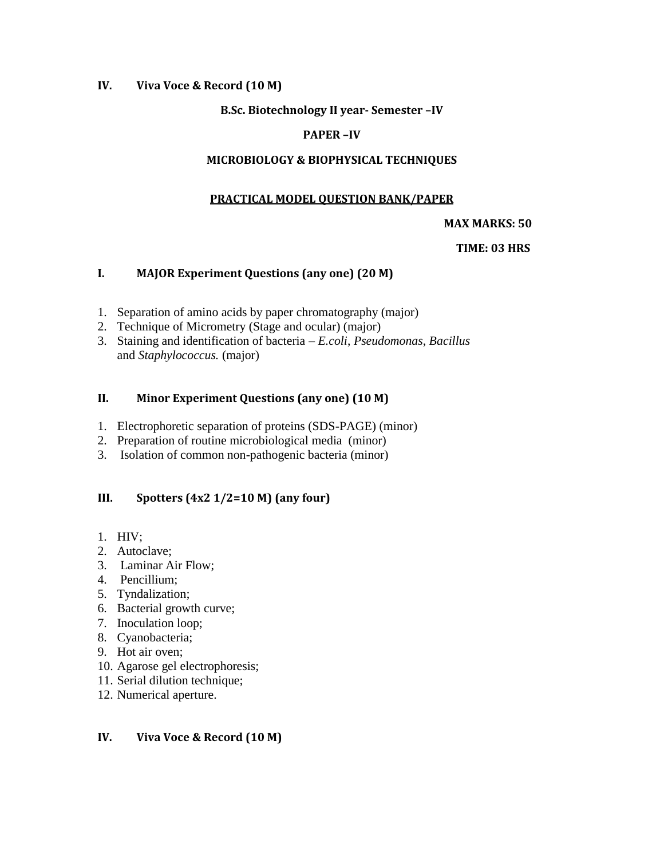## **IV. Viva Voce & Record (10 M)**

## **B.Sc. Biotechnology II year- Semester –IV**

## **PAPER –IV**

#### **MICROBIOLOGY & BIOPHYSICAL TECHNIQUES**

#### **PRACTICAL MODEL QUESTION BANK/PAPER**

#### **MAX MARKS: 50**

#### **TIME: 03 HRS**

#### **I. MAJOR Experiment Questions (any one) (20 M)**

- 1. Separation of amino acids by paper chromatography (major)
- 2. Technique of Micrometry (Stage and ocular) (major)
- 3. Staining and identification of bacteria *E.coli*, *Pseudomonas*, *Bacillus* and *Staphylococcus.* (major)

## **II. Minor Experiment Questions (any one) (10 M)**

- 1. Electrophoretic separation of proteins (SDS-PAGE) (minor)
- 2. Preparation of routine microbiological media (minor)
- 3. Isolation of common non-pathogenic bacteria (minor)

## **III. Spotters (4x2 1/2=10 M) (any four)**

- 1. HIV;
- 2. Autoclave;
- 3. Laminar Air Flow;
- 4. Pencillium;
- 5. Tyndalization;
- 6. Bacterial growth curve;
- 7. Inoculation loop;
- 8. Cyanobacteria;
- 9. Hot air oven;
- 10. Agarose gel electrophoresis;
- 11. Serial dilution technique;
- 12. Numerical aperture.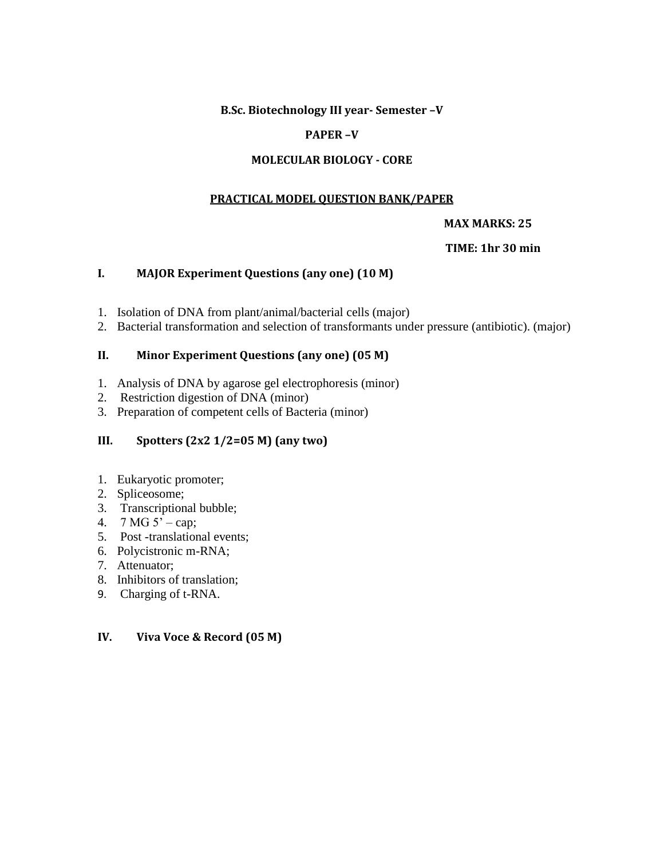### **B.Sc. Biotechnology III year- Semester –V**

## **PAPER –V**

#### **MOLECULAR BIOLOGY - CORE**

#### **PRACTICAL MODEL QUESTION BANK/PAPER**

#### **MAX MARKS: 25**

#### **TIME: 1hr 30 min**

#### **I. MAJOR Experiment Questions (any one) (10 M)**

- 1. Isolation of DNA from plant/animal/bacterial cells (major)
- 2. Bacterial transformation and selection of transformants under pressure (antibiotic). (major)

#### **II. Minor Experiment Questions (any one) (05 M)**

- 1. Analysis of DNA by agarose gel electrophoresis (minor)
- 2. Restriction digestion of DNA (minor)
- 3. Preparation of competent cells of Bacteria (minor)

## **III. Spotters (2x2 1/2=05 M) (any two)**

- 1. Eukaryotic promoter;
- 2. Spliceosome;
- 3. Transcriptional bubble;
- 4.  $7 MG 5' cap$ ;
- 5. Post -translational events;
- 6. Polycistronic m-RNA;
- 7. Attenuator;
- 8. Inhibitors of translation;
- 9. Charging of t-RNA.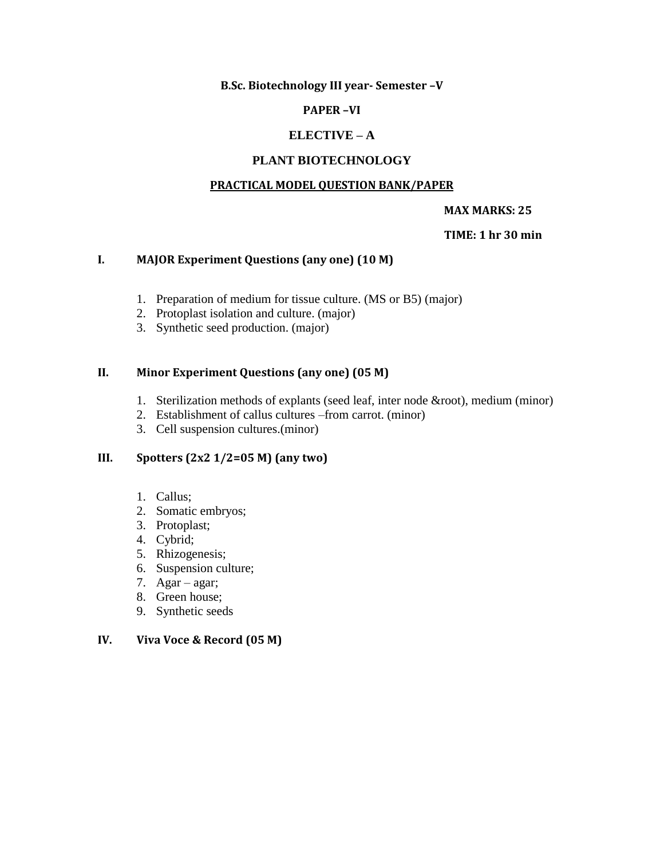**B.Sc. Biotechnology III year- Semester –V** 

## **PAPER –VI**

## **ELECTIVE – A**

#### **PLANT BIOTECHNOLOGY**

#### **PRACTICAL MODEL QUESTION BANK/PAPER**

#### **MAX MARKS: 25**

#### **TIME: 1 hr 30 min**

#### **I. MAJOR Experiment Questions (any one) (10 M)**

- 1. Preparation of medium for tissue culture. (MS or B5) (major)
- 2. Protoplast isolation and culture. (major)
- 3. Synthetic seed production. (major)

#### **II. Minor Experiment Questions (any one) (05 M)**

- 1. Sterilization methods of explants (seed leaf, inter node &root), medium (minor)
- 2. Establishment of callus cultures –from carrot. (minor)
- 3. Cell suspension cultures.(minor)

## **III. Spotters (2x2 1/2=05 M) (any two)**

- 1. Callus;
- 2. Somatic embryos;
- 3. Protoplast;
- 4. Cybrid;
- 5. Rhizogenesis;
- 6. Suspension culture;
- 7. Agar agar;
- 8. Green house;
- 9. Synthetic seeds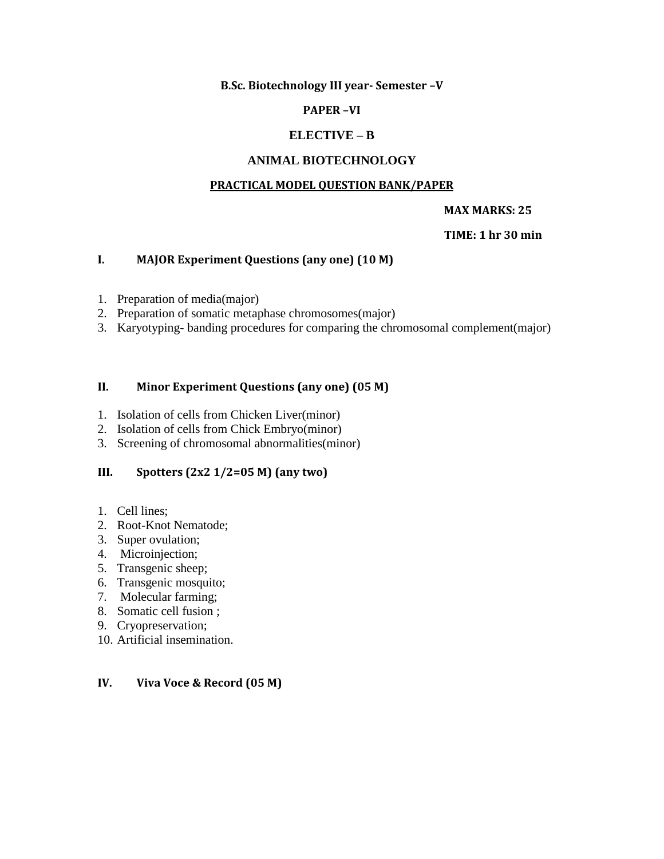**B.Sc. Biotechnology III year- Semester –V** 

## **PAPER –VI**

## **ELECTIVE – B**

## **ANIMAL BIOTECHNOLOGY**

#### **PRACTICAL MODEL QUESTION BANK/PAPER**

#### **MAX MARKS: 25**

#### **TIME: 1 hr 30 min**

#### **I. MAJOR Experiment Questions (any one) (10 M)**

- 1. Preparation of media(major)
- 2. Preparation of somatic metaphase chromosomes(major)
- 3. Karyotyping- banding procedures for comparing the chromosomal complement(major)

#### **II. Minor Experiment Questions (any one) (05 M)**

- 1. Isolation of cells from Chicken Liver(minor)
- 2. Isolation of cells from Chick Embryo(minor)
- 3. Screening of chromosomal abnormalities(minor)

## **III. Spotters (2x2 1/2=05 M) (any two)**

- 1. Cell lines;
- 2. Root-Knot Nematode;
- 3. Super ovulation;
- 4. Microinjection;
- 5. Transgenic sheep;
- 6. Transgenic mosquito;
- 7. Molecular farming;
- 8. Somatic cell fusion ;
- 9. Cryopreservation;
- 10. Artificial insemination.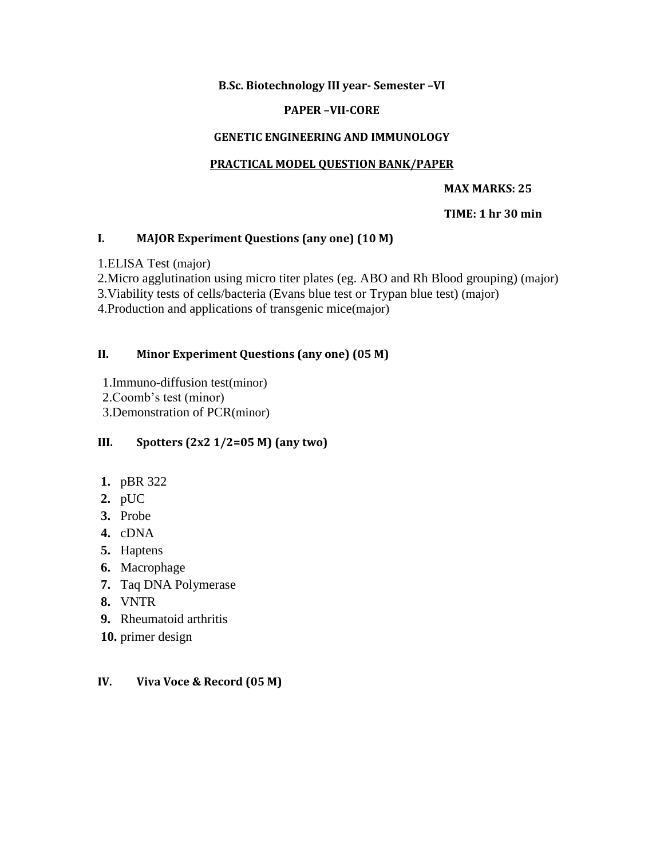## **B.Sc. Biotechnology III year- Semester –VI**

## **PAPER –VII-CORE**

## **GENETIC ENGINEERING AND IMMUNOLOGY**

## **PRACTICAL MODEL QUESTION BANK/PAPER**

#### **MAX MARKS: 25**

## **TIME: 1 hr 30 min**

#### **I. MAJOR Experiment Questions (any one) (10 M)**

1.ELISA Test (major)

2.Micro agglutination using micro titer plates (eg. ABO and Rh Blood grouping) (major)

3.Viability tests of cells/bacteria (Evans blue test or Trypan blue test) (major)

4.Production and applications of transgenic mice(major)

## **II. Minor Experiment Questions (any one) (05 M)**

1.Immuno-diffusion test(minor) 2.Coomb's test (minor) 3.Demonstration of PCR(minor)

## **III. Spotters (2x2 1/2=05 M) (any two)**

- **1.** pBR 322
- **2.** pUC
- **3.** Probe
- **4.** cDNA
- **5.** Haptens
- **6.** Macrophage
- **7.** Taq DNA Polymerase
- **8.** VNTR
- **9.** Rheumatoid arthritis
- **10.** primer design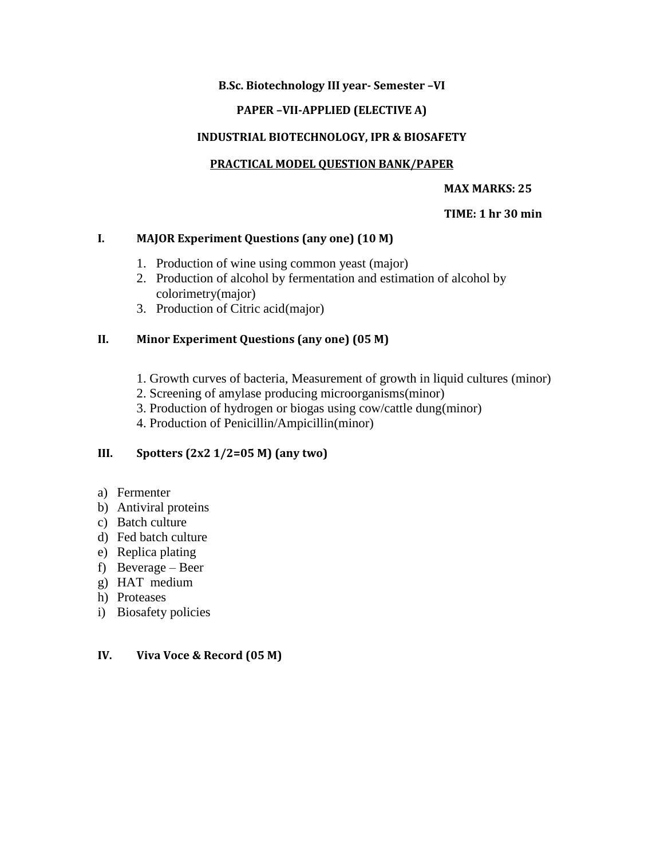## **B.Sc. Biotechnology III year- Semester –VI**

## **PAPER –VII-APPLIED (ELECTIVE A)**

## **INDUSTRIAL BIOTECHNOLOGY, IPR & BIOSAFETY**

## **PRACTICAL MODEL QUESTION BANK/PAPER**

## **MAX MARKS: 25**

## **TIME: 1 hr 30 min**

## **I. MAJOR Experiment Questions (any one) (10 M)**

- 1. Production of wine using common yeast (major)
- 2. Production of alcohol by fermentation and estimation of alcohol by colorimetry(major)
- 3. Production of Citric acid(major)

## **II. Minor Experiment Questions (any one) (05 M)**

- 1. Growth curves of bacteria, Measurement of growth in liquid cultures (minor)
- 2. Screening of amylase producing microorganisms(minor)
- 3. Production of hydrogen or biogas using cow/cattle dung(minor)
- 4. Production of Penicillin/Ampicillin(minor)

## **III. Spotters (2x2 1/2=05 M) (any two)**

- a) Fermenter
- b) Antiviral proteins
- c) Batch culture
- d) Fed batch culture
- e) Replica plating
- f) Beverage Beer
- g) HAT medium
- h) Proteases
- i) Biosafety policies